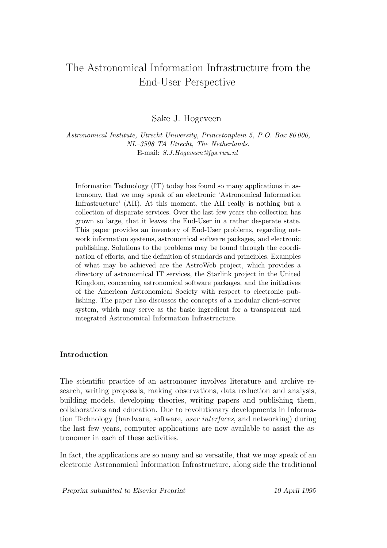# The Astronomical Information Infrastructure from the End-User Perspective

Sake J. Hogeveen

*Astronomical Institute, Utrecht University, Princetonplein 5, P.O. Box 80 000, NL–3508 TA Utrecht, The Netherlands.* E-mail: *S.J.Hogeveen@fys.ruu.nl*

Information Technology (IT) today has found so many applications in astronomy, that we may speak of an electronic 'Astronomical Information Infrastructure' (AII). At this moment, the AII really is nothing but a collection of disparate services. Over the last few years the collection has grown so large, that it leaves the End-User in a rather desperate state. This paper provides an inventory of End-User problems, regarding network information systems, astronomical software packages, and electronic publishing. Solutions to the problems may be found through the coordination of efforts, and the definition of standards and principles. Examples of what may be achieved are the AstroWeb project, which provides a directory of astronomical IT services, the Starlink project in the United Kingdom, concerning astronomical software packages, and the initiatives of the American Astronomical Society with respect to electronic publishing. The paper also discusses the concepts of a modular client–server system, which may serve as the basic ingredient for a transparent and integrated Astronomical Information Infrastructure.

## **Introduction**

The scientific practice of an astronomer involves literature and archive research, writing proposals, making observations, data reduction and analysis, building models, developing theories, writing papers and publishing them, collaborations and education. Due to revolutionary developments in Information Technology (hardware, software, user interfaces, and networking) during the last few years, computer applications are now available to assist the astronomer in each of these activities.

In fact, the applications are so many and so versatile, that we may speak of an electronic Astronomical Information Infrastructure, along side the traditional

*Preprint submitted to Elsevier Preprint 10 April 1995*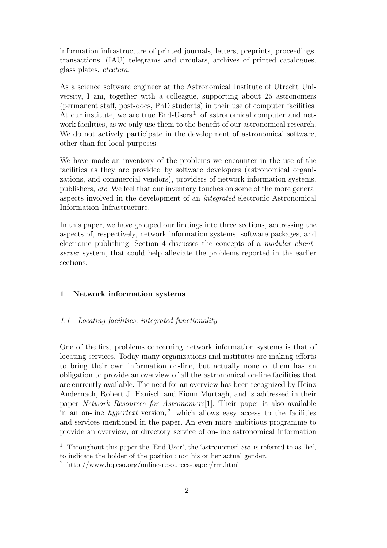information infrastructure of printed journals, letters, preprints, proceedings, transactions, (IAU) telegrams and circulars, archives of printed catalogues, glass plates, etcetera.

As a science software engineer at the Astronomical Institute of Utrecht University, I am, together with a colleague, supporting about 25 astronomers (permanent staff, post-docs, PhD students) in their use of computer facilities. At our institute, we are true  $\text{End-Users}^1$  of astronomical computer and network facilities, as we only use them to the benefit of our astronomical research. We do not actively participate in the development of astronomical software, other than for local purposes.

We have made an inventory of the problems we encounter in the use of the facilities as they are provided by software developers (astronomical organizations, and commercial vendors), providers of network information systems, publishers, etc. We feel that our inventory touches on some of the more general aspects involved in the development of an integrated electronic Astronomical Information Infrastructure.

In this paper, we have grouped our findings into three sections, addressing the aspects of, respectively, network information systems, software packages, and electronic publishing. Section 4 discusses the concepts of a *modular client*– server system, that could help alleviate the problems reported in the earlier sections.

#### **1 Network information systems**

#### 1.1 Locating facilities; integrated functionality

One of the first problems concerning network information systems is that of locating services. Today many organizations and institutes are making efforts to bring their own information on-line, but actually none of them has an obligation to provide an overview of all the astronomical on-line facilities that are currently available. The need for an overview has been recognized by Heinz Andernach, Robert J. Hanisch and Fionn Murtagh, and is addressed in their paper Network Resources for Astronomers[1]. Their paper is also available in an on-line *hypertext* version,<sup>2</sup> which allows easy access to the facilities and services mentioned in the paper. An even more ambitious programme to provide an overview, or directory service of on-line astronomical information

<sup>1</sup> Throughout this paper the 'End-User', the 'astronomer' *etc*. is referred to as 'he', to indicate the holder of the position: not his or her actual gender.

<sup>2</sup> http://www.hq.eso.org/online-resources-paper/rrn.html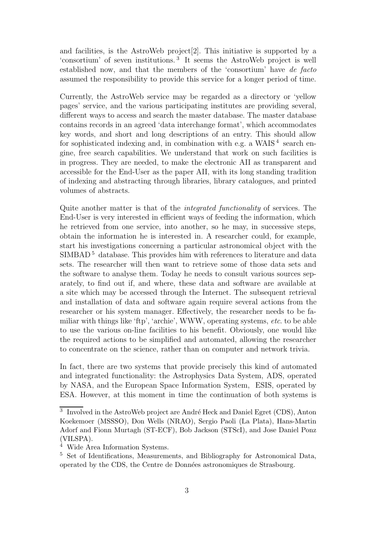and facilities, is the AstroWeb project[2]. This initiative is supported by a 'consortium' of seven institutions. <sup>3</sup> It seems the AstroWeb project is well established now, and that the members of the 'consortium' have de facto assumed the responsibility to provide this service for a longer period of time.

Currently, the AstroWeb service may be regarded as a directory or 'yellow pages' service, and the various participating institutes are providing several, different ways to access and search the master database. The master database contains records in an agreed 'data interchange format', which accommodates key words, and short and long descriptions of an entry. This should allow for sophisticated indexing and, in combination with e.g. a WAIS<sup>4</sup> search engine, free search capabilities. We understand that work on such facilities is in progress. They are needed, to make the electronic AII as transparent and accessible for the End-User as the paper AII, with its long standing tradition of indexing and abstracting through libraries, library catalogues, and printed volumes of abstracts.

Quite another matter is that of the integrated functionality of services. The End-User is very interested in efficient ways of feeding the information, which he retrieved from one service, into another, so he may, in successive steps, obtain the information he is interested in. A researcher could, for example, start his investigations concerning a particular astronomical object with the  $SIMBAD<sup>5</sup>$  database. This provides him with references to literature and data sets. The researcher will then want to retrieve some of those data sets and the software to analyse them. Today he needs to consult various sources separately, to find out if, and where, these data and software are available at a site which may be accessed through the Internet. The subsequent retrieval and installation of data and software again require several actions from the researcher or his system manager. Effectively, the researcher needs to be familiar with things like 'ftp', 'archie', WWW, operating systems, etc. to be able to use the various on-line facilities to his benefit. Obviously, one would like the required actions to be simplified and automated, allowing the researcher to concentrate on the science, rather than on computer and network trivia.

In fact, there are two systems that provide precisely this kind of automated and integrated functionality: the Astrophysics Data System, ADS, operated by NASA, and the European Space Information System, ESIS, operated by ESA. However, at this moment in time the continuation of both systems is

 $3$  Involved in the AstroWeb project are André Heck and Daniel Egret (CDS), Anton Koekemoer (MSSSO), Don Wells (NRAO), Sergio Paoli (La Plata), Hans-Martin Adorf and Fionn Murtagh (ST-ECF), Bob Jackson (STScI), and Jose Daniel Ponz (VILSPA).

 $4$  Wide Area Information Systems.

<sup>5</sup> Set of Identifications, Measurements, and Bibliography for Astronomical Data, operated by the CDS, the Centre de Données astronomiques de Strasbourg.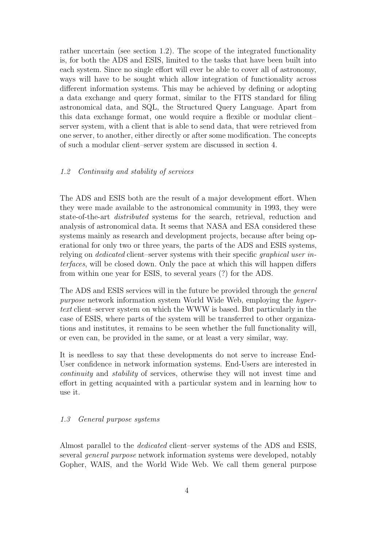rather uncertain (see section 1.2). The scope of the integrated functionality is, for both the ADS and ESIS, limited to the tasks that have been built into each system. Since no single effort will ever be able to cover all of astronomy, ways will have to be sought which allow integration of functionality across different information systems. This may be achieved by defining or adopting a data exchange and query format, similar to the FITS standard for filing astronomical data, and SQL, the Structured Query Language. Apart from this data exchange format, one would require a flexible or modular client– server system, with a client that is able to send data, that were retrieved from one server, to another, either directly or after some modification. The concepts of such a modular client–server system are discussed in section 4.

#### 1.2 Continuity and stability of services

The ADS and ESIS both are the result of a major development effort. When they were made available to the astronomical community in 1993, they were state-of-the-art distributed systems for the search, retrieval, reduction and analysis of astronomical data. It seems that NASA and ESA considered these systems mainly as research and development projects, because after being operational for only two or three years, the parts of the ADS and ESIS systems, relying on dedicated client–server systems with their specific graphical user interfaces, will be closed down. Only the pace at which this will happen differs from within one year for ESIS, to several years (?) for the ADS.

The ADS and ESIS services will in the future be provided through the general purpose network information system World Wide Web, employing the hypertext client–server system on which the WWW is based. But particularly in the case of ESIS, where parts of the system will be transferred to other organizations and institutes, it remains to be seen whether the full functionality will, or even can, be provided in the same, or at least a very similar, way.

It is needless to say that these developments do not serve to increase End-User confidence in network information systems. End-Users are interested in continuity and stability of services, otherwise they will not invest time and effort in getting acquainted with a particular system and in learning how to use it.

## 1.3 General purpose systems

Almost parallel to the dedicated client–server systems of the ADS and ESIS, several general purpose network information systems were developed, notably Gopher, WAIS, and the World Wide Web. We call them general purpose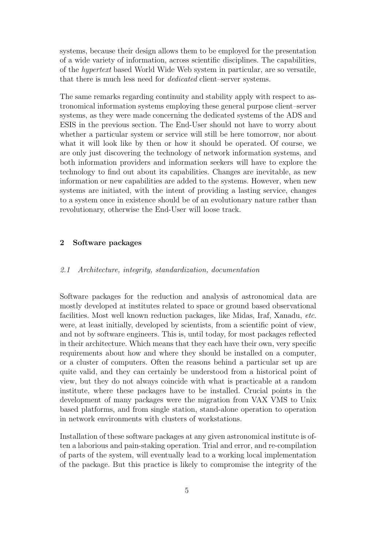systems, because their design allows them to be employed for the presentation of a wide variety of information, across scientific disciplines. The capabilities, of the hypertext based World Wide Web system in particular, are so versatile, that there is much less need for dedicated client–server systems.

The same remarks regarding continuity and stability apply with respect to astronomical information systems employing these general purpose client–server systems, as they were made concerning the dedicated systems of the ADS and ESIS in the previous section. The End-User should not have to worry about whether a particular system or service will still be here tomorrow, nor about what it will look like by then or how it should be operated. Of course, we are only just discovering the technology of network information systems, and both information providers and information seekers will have to explore the technology to find out about its capabilities. Changes are inevitable, as new information or new capabilities are added to the systems. However, when new systems are initiated, with the intent of providing a lasting service, changes to a system once in existence should be of an evolutionary nature rather than revolutionary, otherwise the End-User will loose track.

## **2 Software packages**

#### 2.1 Architecture, integrity, standardization, documentation

Software packages for the reduction and analysis of astronomical data are mostly developed at institutes related to space or ground based observational facilities. Most well known reduction packages, like Midas, Iraf, Xanadu, etc. were, at least initially, developed by scientists, from a scientific point of view, and not by software engineers. This is, until today, for most packages reflected in their architecture. Which means that they each have their own, very specific requirements about how and where they should be installed on a computer, or a cluster of computers. Often the reasons behind a particular set up are quite valid, and they can certainly be understood from a historical point of view, but they do not always coincide with what is practicable at a random institute, where these packages have to be installed. Crucial points in the development of many packages were the migration from VAX VMS to Unix based platforms, and from single station, stand-alone operation to operation in network environments with clusters of workstations.

Installation of these software packages at any given astronomical institute is often a laborious and pain-staking operation. Trial and error, and re-compilation of parts of the system, will eventually lead to a working local implementation of the package. But this practice is likely to compromise the integrity of the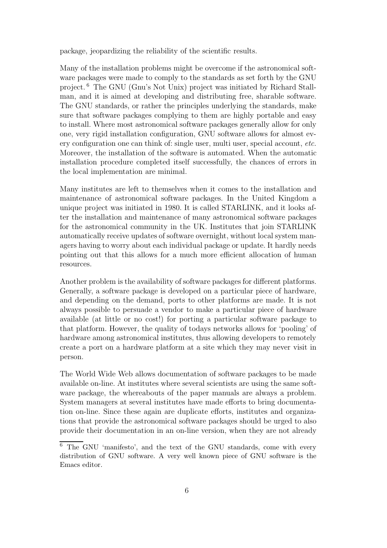package, jeopardizing the reliability of the scientific results.

Many of the installation problems might be overcome if the astronomical software packages were made to comply to the standards as set forth by the GNU project. <sup>6</sup> The GNU (Gnu's Not Unix) project was initiated by Richard Stallman, and it is aimed at developing and distributing free, sharable software. The GNU standards, or rather the principles underlying the standards, make sure that software packages complying to them are highly portable and easy to install. Where most astronomical software packages generally allow for only one, very rigid installation configuration, GNU software allows for almost every configuration one can think of: single user, multi user, special account, etc. Moreover, the installation of the software is automated. When the automatic installation procedure completed itself successfully, the chances of errors in the local implementation are minimal.

Many institutes are left to themselves when it comes to the installation and maintenance of astronomical software packages. In the United Kingdom a unique project was initiated in 1980. It is called STARLINK, and it looks after the installation and maintenance of many astronomical software packages for the astronomical community in the UK. Institutes that join STARLINK automatically receive updates of software overnight, without local system managers having to worry about each individual package or update. It hardly needs pointing out that this allows for a much more efficient allocation of human resources.

Another problem is the availability of software packages for different platforms. Generally, a software package is developed on a particular piece of hardware, and depending on the demand, ports to other platforms are made. It is not always possible to persuade a vendor to make a particular piece of hardware available (at little or no cost!) for porting a particular software package to that platform. However, the quality of todays networks allows for 'pooling' of hardware among astronomical institutes, thus allowing developers to remotely create a port on a hardware platform at a site which they may never visit in person.

The World Wide Web allows documentation of software packages to be made available on-line. At institutes where several scientists are using the same software package, the whereabouts of the paper manuals are always a problem. System managers at several institutes have made efforts to bring documentation on-line. Since these again are duplicate efforts, institutes and organizations that provide the astronomical software packages should be urged to also provide their documentation in an on-line version, when they are not already

<sup>6</sup> The GNU 'manifesto', and the text of the GNU standards, come with every distribution of GNU software. A very well known piece of GNU software is the Emacs editor.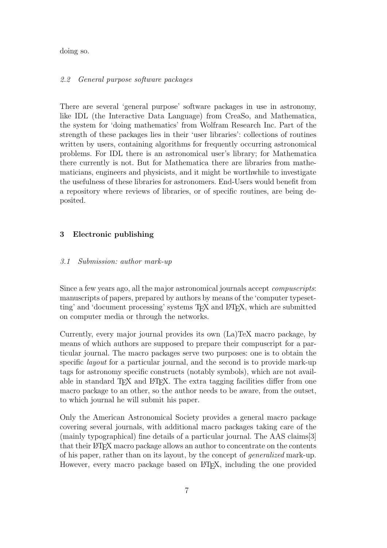doing so.

#### 2.2 General purpose software packages

There are several 'general purpose' software packages in use in astronomy, like IDL (the Interactive Data Language) from CreaSo, and Mathematica, the system for 'doing mathematics' from Wolfram Research Inc. Part of the strength of these packages lies in their 'user libraries': collections of routines written by users, containing algorithms for frequently occurring astronomical problems. For IDL there is an astronomical user's library; for Mathematica there currently is not. But for Mathematica there are libraries from mathematicians, engineers and physicists, and it might be worthwhile to investigate the usefulness of these libraries for astronomers. End-Users would benefit from a repository where reviews of libraries, or of specific routines, are being deposited.

## **3 Electronic publishing**

#### 3.1 Submission: author mark-up

Since a few years ago, all the major astronomical journals accept compuscripts: manuscripts of papers, prepared by authors by means of the 'computer typesetting' and 'document processing' systems T<sub>EX</sub> and L<sup>AT</sup>EX, which are submitted on computer media or through the networks.

Currently, every major journal provides its own (La)TeX macro package, by means of which authors are supposed to prepare their compuscript for a particular journal. The macro packages serve two purposes: one is to obtain the specific *layout* for a particular journal, and the second is to provide mark-up tags for astronomy specific constructs (notably symbols), which are not available in standard T<sub>EX</sub> and L<sup>AT</sup>EX. The extra tagging facilities differ from one macro package to an other, so the author needs to be aware, from the outset, to which journal he will submit his paper.

Only the American Astronomical Society provides a general macro package covering several journals, with additional macro packages taking care of the (mainly typographical) fine details of a particular journal. The AAS claims[3] that their LATEX macro package allows an author to concentrate on the contents of his paper, rather than on its layout, by the concept of generalized mark-up. However, every macro package based on LAT<sub>E</sub>X, including the one provided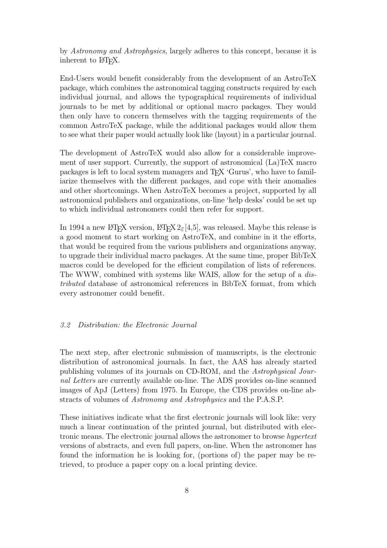by Astronomy and Astrophysics, largely adheres to this concept, because it is inherent to L<sup>AT</sup>FX.

End-Users would benefit considerably from the development of an AstroTeX package, which combines the astronomical tagging constructs required by each individual journal, and allows the typographical requirements of individual journals to be met by additional or optional macro packages. They would then only have to concern themselves with the tagging requirements of the common AstroTeX package, while the additional packages would allow them to see what their paper would actually look like (layout) in a particular journal.

The development of AstroTeX would also allow for a considerable improvement of user support. Currently, the support of astronomical (La)TeX macro packages is left to local system managers and T<sub>E</sub>X 'Gurus', who have to familiarize themselves with the different packages, and cope with their anomalies and other shortcomings. When AstroTeX becomes a project, supported by all astronomical publishers and organizations, on-line 'help desks' could be set up to which individual astronomers could then refer for support.

In 1994 a new LATEX version, LATEX  $2\varepsilon$  [4,5], was released. Maybe this release is a good moment to start working on AstroTeX, and combine in it the efforts, that would be required from the various publishers and organizations anyway, to upgrade their individual macro packages. At the same time, proper BibTeX macros could be developed for the efficient compilation of lists of references. The WWW, combined with systems like WAIS, allow for the setup of a distributed database of astronomical references in BibTeX format, from which every astronomer could benefit.

#### 3.2 Distribution: the Electronic Journal

The next step, after electronic submission of manuscripts, is the electronic distribution of astronomical journals. In fact, the AAS has already started publishing volumes of its journals on CD-ROM, and the Astrophysical Journal Letters are currently available on-line. The ADS provides on-line scanned images of ApJ (Letters) from 1975. In Europe, the CDS provides on-line abstracts of volumes of Astronomy and Astrophysics and the P.A.S.P.

These initiatives indicate what the first electronic journals will look like: very much a linear continuation of the printed journal, but distributed with electronic means. The electronic journal allows the astronomer to browse hypertext versions of abstracts, and even full papers, on-line. When the astronomer has found the information he is looking for, (portions of) the paper may be retrieved, to produce a paper copy on a local printing device.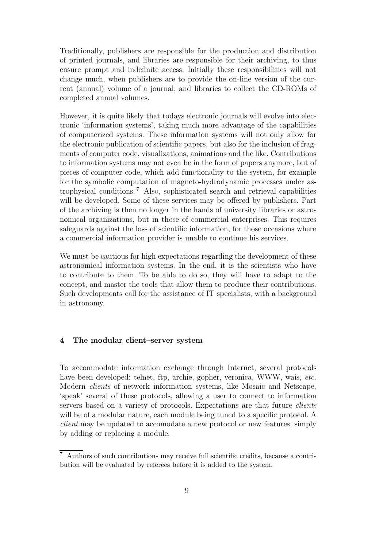Traditionally, publishers are responsible for the production and distribution of printed journals, and libraries are responsible for their archiving, to thus ensure prompt and indefinite access. Initially these responsibilities will not change much, when publishers are to provide the on-line version of the current (annual) volume of a journal, and libraries to collect the CD-ROMs of completed annual volumes.

However, it is quite likely that todays electronic journals will evolve into electronic 'information systems', taking much more advantage of the capabilities of computerized systems. These information systems will not only allow for the electronic publication of scientific papers, but also for the inclusion of fragments of computer code, visualizations, animations and the like. Contributions to information systems may not even be in the form of papers anymore, but of pieces of computer code, which add functionality to the system, for example for the symbolic computation of magneto-hydrodynamic processes under astrophysical conditions. <sup>7</sup> Also, sophisticated search and retrieval capabilities will be developed. Some of these services may be offered by publishers. Part of the archiving is then no longer in the hands of university libraries or astronomical organizations, but in those of commercial enterprises. This requires safeguards against the loss of scientific information, for those occasions where a commercial information provider is unable to continue his services.

We must be cautious for high expectations regarding the development of these astronomical information systems. In the end, it is the scientists who have to contribute to them. To be able to do so, they will have to adapt to the concept, and master the tools that allow them to produce their contributions. Such developments call for the assistance of IT specialists, with a background in astronomy.

## **4 The modular client–server system**

To accommodate information exchange through Internet, several protocols have been developed: telnet, ftp, archie, gopher, veronica, WWW, wais, etc. Modern clients of network information systems, like Mosaic and Netscape, 'speak' several of these protocols, allowing a user to connect to information servers based on a variety of protocols. Expectations are that future *clients* will be of a modular nature, each module being tuned to a specific protocol. A client may be updated to accomodate a new protocol or new features, simply by adding or replacing a module.

<sup>7</sup> Authors of such contributions may receive full scientific credits, because a contribution will be evaluated by referees before it is added to the system.